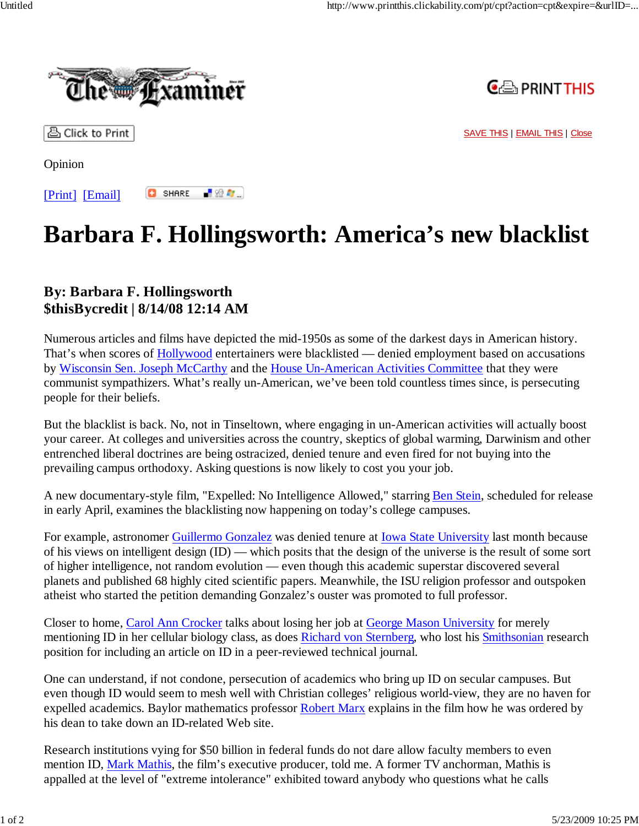

最短な。



凸 Click to Print

SAVE THIS | EMAIL THIS | Close

Opinion

**C** SHARE [Print] [Email]

## **Barbara F. Hollingsworth: America's new blacklist**

## **By: Barbara F. Hollingsworth \$thisBycredit | 8/14/08 12:14 AM**

Numerous articles and films have depicted the mid-1950s as some of the darkest days in American history. That's when scores of **Hollywood** entertainers were blacklisted — denied employment based on accusations by Wisconsin Sen. Joseph McCarthy and the House Un-American Activities Committee that they were communist sympathizers. What's really un-American, we've been told countless times since, is persecuting people for their beliefs.

But the blacklist is back. No, not in Tinseltown, where engaging in un-American activities will actually boost your career. At colleges and universities across the country, skeptics of global warming, Darwinism and other entrenched liberal doctrines are being ostracized, denied tenure and even fired for not buying into the prevailing campus orthodoxy. Asking questions is now likely to cost you your job.

A new documentary-style film, "Expelled: No Intelligence Allowed," starring Ben Stein, scheduled for release in early April, examines the blacklisting now happening on today's college campuses.

For example, astronomer Guillermo Gonzalez was denied tenure at <u>Iowa State University</u> last month because of his views on intelligent design (ID) — which posits that the design of the universe is the result of some sort of higher intelligence, not random evolution — even though this academic superstar discovered several planets and published 68 highly cited scientific papers. Meanwhile, the ISU religion professor and outspoken atheist who started the petition demanding Gonzalez's ouster was promoted to full professor.

Closer to home, Carol Ann Crocker talks about losing her job at George Mason University for merely mentioning ID in her cellular biology class, as does Richard von Sternberg, who lost his Smithsonian research position for including an article on ID in a peer-reviewed technical journal.

One can understand, if not condone, persecution of academics who bring up ID on secular campuses. But even though ID would seem to mesh well with Christian colleges' religious world-view, they are no haven for expelled academics. Baylor mathematics professor Robert Marx explains in the film how he was ordered by his dean to take down an ID-related Web site.

Research institutions vying for \$50 billion in federal funds do not dare allow faculty members to even mention ID, Mark Mathis, the film's executive producer, told me. A former TV anchorman, Mathis is appalled at the level of "extreme intolerance" exhibited toward anybody who questions what he calls